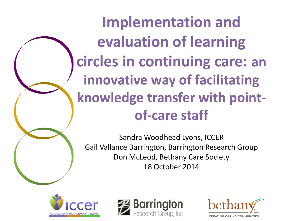**Implementation and evaluation of learning circles in continuing care: an innovative way of facilitating knowledge transfer with pointof-care staff** 

Sandra Woodhead Lyons, ICCER Gail Vallance Barrington, Barrington Research Group Don McLeod, Bethany Care Society 18 October 2014





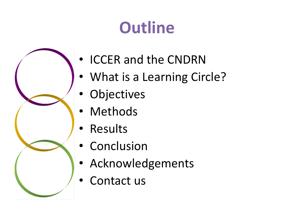# **Outline**



- ICCER and the CNDRN
- What is a Learning Circle?
- Objectives
- **Methods**
- Results
- Conclusion
- Acknowledgements
- Contact us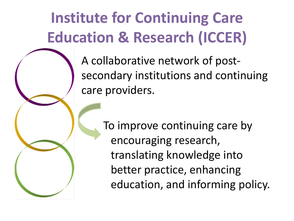### **Institute for Continuing Care Education & Research (ICCER)**

A collaborative network of postsecondary institutions and continuing care providers.

> To improve continuing care by encouraging research, translating knowledge into better practice, enhancing education, and informing policy.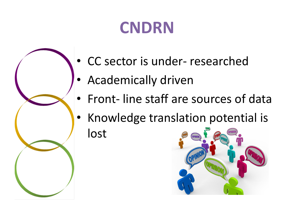### **CNDRN**

- CC sector is under- researched
- Academically driven
- Front- line staff are sources of data
- Knowledge translation potential is lost

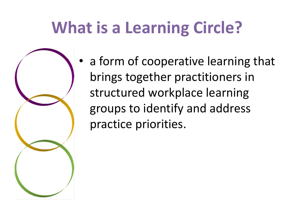### **What is a Learning Circle?**

a form of cooperative learning that brings together practitioners in structured workplace learning groups to identify and address practice priorities.

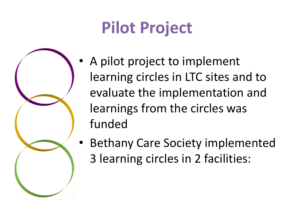# **Pilot Project**



- A pilot project to implement learning circles in LTC sites and to evaluate the implementation and learnings from the circles was funded
- Bethany Care Society implemented 3 learning circles in 2 facilities: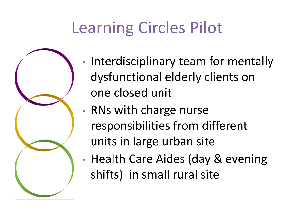## Learning Circles Pilot



- Interdisciplinary team for mentally dysfunctional elderly clients on one closed unit
- RNs with charge nurse responsibilities from different units in large urban site
- Health Care Aides (day & evening shifts) in small rural site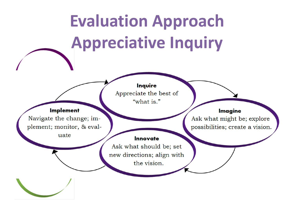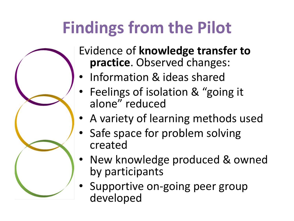# **Findings from the Pilot**



Evidence of **knowledge transfer to practice**. Observed changes:

- Information & ideas shared
- Feelings of isolation & "going it alone" reduced
- A variety of learning methods used
- Safe space for problem solving created
- New knowledge produced & owned by participants
- Supportive on-going peer group developed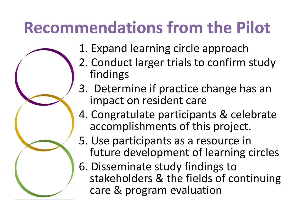### **Recommendations from the Pilot**

- 1. Expand learning circle approach
- 2. Conduct larger trials to confirm study findings
- 3. Determine if practice change has an impact on resident care
- 4. Congratulate participants & celebrate accomplishments of this project.
- 5. Use participants as a resource in future development of learning circles
- 6. Disseminate study findings to stakeholders & the fields of continuing care & program evaluation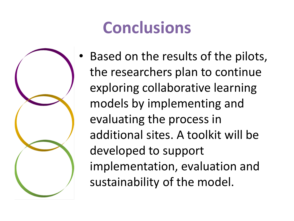### **Conclusions**



Based on the results of the pilots, the researchers plan to continue exploring collaborative learning models by implementing and evaluating the process in additional sites. A toolkit will be developed to support implementation, evaluation and sustainability of the model.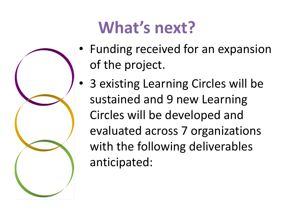

# **What's next?**

- Funding received for an expansion of the project.
- 3 existing Learning Circles will be sustained and 9 new Learning Circles will be developed and evaluated across 7 organizations with the following deliverables anticipated: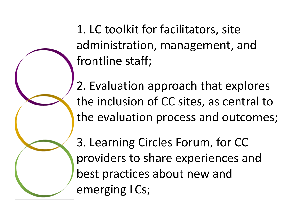1. LC toolkit for facilitators, site administration, management, and frontline staff;

2. Evaluation approach that explores the inclusion of CC sites, as central to the evaluation process and outcomes;

3. Learning Circles Forum, for CC providers to share experiences and best practices about new and emerging LCs;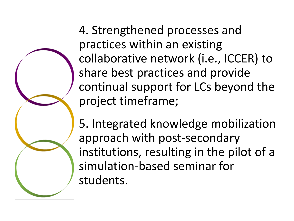4. Strengthened processes and practices within an existing collaborative network (i.e., ICCER) to share best practices and provide continual support for LCs beyond the project timeframe;

5. Integrated knowledge mobilization approach with post-secondary institutions, resulting in the pilot of a simulation-based seminar for students.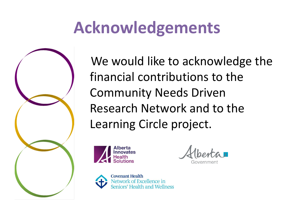### **Acknowledgements**



 We would like to acknowledge the financial contributions to the Community Needs Driven Research Network and to the Learning Circle project.



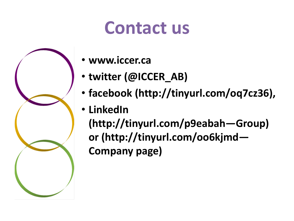# **Contact us**



- **www.iccer.ca**
- **twitter (@ICCER\_AB)**
- **facebook (http://tinyurl.com/oq7cz36),**
- **LinkedIn**

**(http://tinyurl.com/p9eabah—Group) or (http://tinyurl.com/oo6kjmd— Company page)**